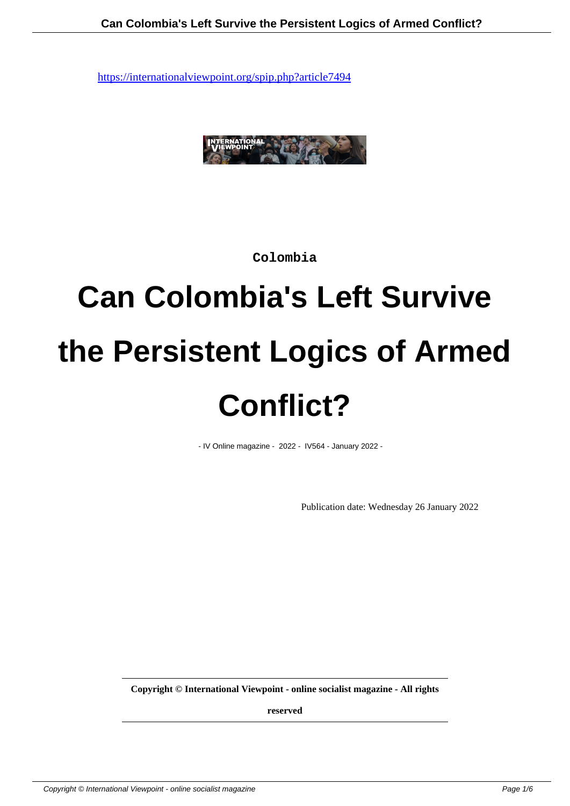

**Colombia**

# **Can Colombia's Left Survive the Persistent Logics of Armed Conflict?**

- IV Online magazine - 2022 - IV564 - January 2022 -

Publication date: Wednesday 26 January 2022

**Copyright © International Viewpoint - online socialist magazine - All rights**

**reserved**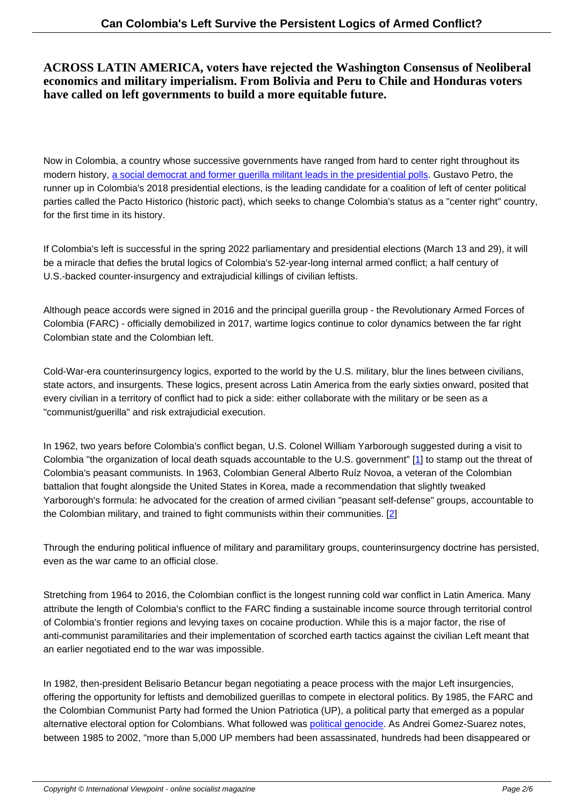## **ACROSS LATIN AMERICA, voters have rejected the Washington Consensus of Neoliberal economics and military imperialism. From Bolivia and Peru to Chile and Honduras voters have called on left governments to build a more equitable future.**

Now in Colombia, a country whose successive governments have ranged from hard to center right throughout its modern history, a social democrat and former querilla militant leads in the presidential polls. Gustavo Petro, the runner up in Colombia's 2018 presidential elections, is the leading candidate for a coalition of left of center political parties called the Pacto Historico (historic pact), which seeks to change Colombia's status as a "center right" country, for the first time [in its history.](https://www.nytimes.com/2022/01/04/world/americas/leftists-elections-latin-america.html)

If Colombia's left is successful in the spring 2022 parliamentary and presidential elections (March 13 and 29), it will be a miracle that defies the brutal logics of Colombia's 52-year-long internal armed conflict; a half century of U.S.-backed counter-insurgency and extrajudicial killings of civilian leftists.

Although peace accords were signed in 2016 and the principal guerilla group - the Revolutionary Armed Forces of Colombia (FARC) - officially demobilized in 2017, wartime logics continue to color dynamics between the far right Colombian state and the Colombian left.

Cold-War-era counterinsurgency logics, exported to the world by the U.S. military, blur the lines between civilians, state actors, and insurgents. These logics, present across Latin America from the early sixties onward, posited that every civilian in a territory of conflict had to pick a side: either collaborate with the military or be seen as a "communist/guerilla" and risk extrajudicial execution.

In 1962, two years before Colombia's conflict began, U.S. Colonel William Yarborough suggested during a visit to Colombia "the organization of local death squads accountable to the U.S. government" [1] to stamp out the threat of Colombia's peasant communists. In 1963, Colombian General Alberto Ruíz Novoa, a veteran of the Colombian battalion that fought alongside the United States in Korea, made a recommendation that slightly tweaked Yarborough's formula: he advocated for the creation of armed civilian "peasant self-defe[n](#nb1)se" groups, accountable to the Colombian military, and trained to fight communists within their communities. [2]

Through the enduring political influence of military and paramilitary groups, counterinsurgency doctrine has persisted, even as the war came to an official close.

Stretching from 1964 to 2016, the Colombian conflict is the longest running cold war conflict in Latin America. Many attribute the length of Colombia's conflict to the FARC finding a sustainable income source through territorial control of Colombia's frontier regions and levying taxes on cocaine production. While this is a major factor, the rise of anti-communist paramilitaries and their implementation of scorched earth tactics against the civilian Left meant that an earlier negotiated end to the war was impossible.

In 1982, then-president Belisario Betancur began negotiating a peace process with the major Left insurgencies, offering the opportunity for leftists and demobilized guerillas to compete in electoral politics. By 1985, the FARC and the Colombian Communist Party had formed the Union Patriotica (UP), a political party that emerged as a popular alternative electoral option for Colombians. What followed was political genocide. As Andrei Gomez-Suarez notes, between 1985 to 2002, "more than 5,000 UP members had been assassinated, hundreds had been disappeared or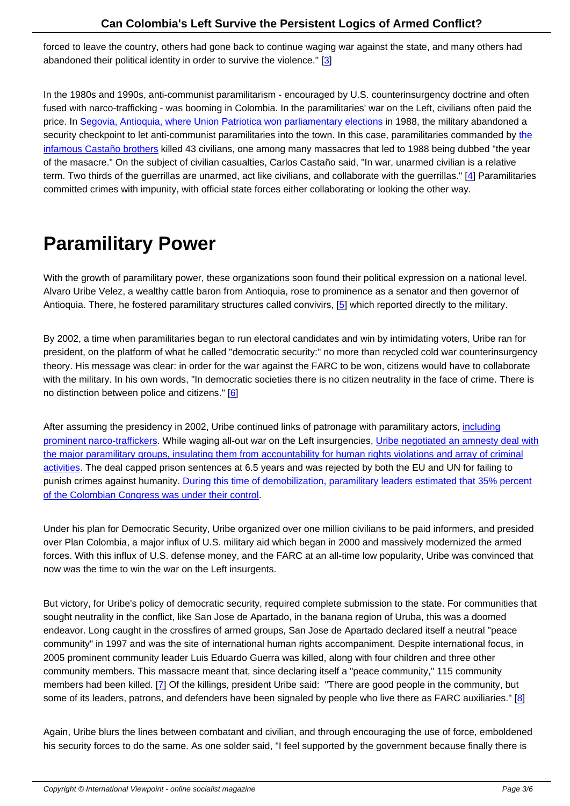forced to leave the country, others had gone back to continue waging war against the state, and many others had abandoned their political identity in order to survive the violence." [3]

In the 1980s and 1990s, anti-communist paramilitarism - encouraged by U.S. counterinsurgency doctrine and often fused with narco-trafficking - was booming in Colombia. In the par[am](#nb3)ilitaries' war on the Left, civilians often paid the price. In Segovia, Antioquia, where Union Patriotica won parliamentary elections in 1988, the military abandoned a security checkpoint to let anti-communist paramilitaries into the town. In this case, paramilitaries commanded by the infamous Castaño brothers killed 43 civilians, one among many massacres that led to 1988 being dubbed "the year of the masacre." On the subject of civilian casualties, Carlos Castaño said, "In war, unarmed civilian is a relative term. T[wo thirds of the guerrillas are unarmed, act like civilians, and collaborate w](https://www.elespectador.com/judicial/25-anos-de-un-tiempo-de-masacres-article-408650/)ith the guerrillas." [4] Paramilit[aries](https://nacla.org/article/meeting-paramilitary-leader-carlos-casta%C3%B1o) [committed crimes with impu](https://nacla.org/article/meeting-paramilitary-leader-carlos-casta%C3%B1o)nity, with official state forces either collaborating or looking the other way.

## **Paramilitary Power**

With the growth of paramilitary power, these organizations soon found their political expression on a national level. Alvaro Uribe Velez, a wealthy cattle baron from Antioquia, rose to prominence as a senator and then governor of Antioquia. There, he fostered paramilitary structures called convivirs, [5] which reported directly to the military.

By 2002, a time when paramilitaries began to run electoral candidates and win by intimidating voters, Uribe ran for president, on the platform of what he called "democratic security:" no [m](#nb5)ore than recycled cold war counterinsurgency theory. His message was clear: in order for the war against the FARC to be won, citizens would have to collaborate with the military. In his own words, "In democratic societies there is no citizen neutrality in the face of crime. There is no distinction between police and citizens." [6]

After assuming the presidency in 2002, Uribe continued links of patronage with paramilitary actors, *including* prominent narco-traffickers. While waging al[l-o](#nb6)ut war on the Left insurgencies, Uribe negotiated an amnesty deal with the major paramilitary groups, insulating them from accountability for human rights violations and array of criminal activities. The deal capped prison sentences at 6.5 years and was rejected by both the EU and UN for failing to punish crimes against humanity. During this time of demobilization, paramilitar[y leaders estimated t](https://www.law.ox.ac.uk/research-subject-groups/oxford-transitional-justice-research/past-debates/justice-and-peace-colombia)[hat 35%](https://www.eltiempo.com/archivo/documento/CMS-14037978) [percent](https://www.law.ox.ac.uk/research-subject-groups/oxford-transitional-justice-research/past-debates/justice-and-peace-colombia) [of the Colombian Congres](https://www.eltiempo.com/archivo/documento/CMS-14037978)[s was under their control.](https://www.law.ox.ac.uk/research-subject-groups/oxford-transitional-justice-research/past-debates/justice-and-peace-colombia)

Under his plan for Democratic S[ecurity, Uribe organized over one million civilians to be paid informers, and presided](https://caracol.com.co/radio/2005/08/04/judicial/1123166760_191922.html) [over Plan Colombia, a major influx of U.S. military a](https://caracol.com.co/radio/2005/08/04/judicial/1123166760_191922.html)id which began in 2000 and massively modernized the armed forces. With this influx of U.S. defense money, and the FARC at an all-time low popularity, Uribe was convinced that now was the time to win the war on the Left insurgents.

But victory, for Uribe's policy of democratic security, required complete submission to the state. For communities that sought neutrality in the conflict, like San Jose de Apartado, in the banana region of Uruba, this was a doomed endeavor. Long caught in the crossfires of armed groups, San Jose de Apartado declared itself a neutral "peace community" in 1997 and was the site of international human rights accompaniment. Despite international focus, in 2005 prominent community leader Luis Eduardo Guerra was killed, along with four children and three other community members. This massacre meant that, since declaring itself a "peace community," 115 community members had been killed. [7] Of the killings, president Uribe said: "There are good people in the community, but some of its leaders, patrons, and defenders have been signaled by people who live there as FARC auxiliaries." [8]

Again, Uribe blurs the lines [b](#nb7)etween combatant and civilian, and through encouraging the use of force, emboldened his security forces to do the same. As one solder said, "I feel supported by the government because finally ther[e is](#nb8)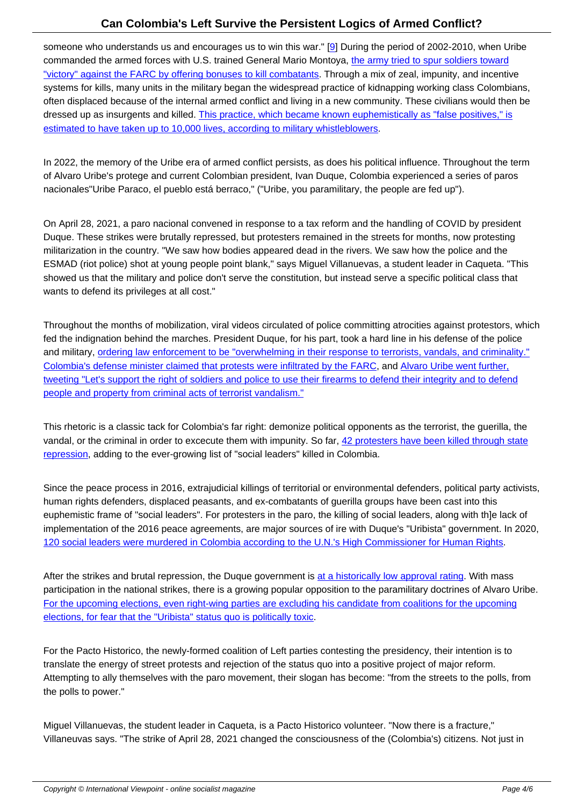someone who understands us and encourages us to win this war." [9] During the period of 2002-2010, when Uribe commanded the armed forces with U.S. trained General Mario Montoya, the army tried to spur soldiers toward "victory" against the FARC by offering bonuses to kill combatants. Through a mix of zeal, impunity, and incentive systems for kills, many units in the military began the widespread practice of kidnapping working class Colombians, often displaced because of the internal armed conflict and living in [a n](#nb9)ew community. These civilians would then be dressed up as insurgents and killed. This practice, which became known [euphemistically as "false positives," is](https://www.hrw.org/news/2017/11/13/how-colombian-army-encouraged-killings) [estimated to have taken up to 10,000 lives, according to military w](https://www.hrw.org/news/2017/11/13/how-colombian-army-encouraged-killings)histleblowers.

In 2022, the memory of the Uribe er[a of armed conflict persists, as does his political influence. Throughout the t](https://www.theguardian.com/world/2018/may/08/colombia-false-positives-scandal-casualties-higher-thought-study)erm [of Alvaro Uribe's protege and current Colombian president, Ivan Duque, Colomb](https://www.theguardian.com/world/2018/may/08/colombia-false-positives-scandal-casualties-higher-thought-study)ia experienced a series of paros nacionales"Uribe Paraco, el pueblo está berraco," ("Uribe, you paramilitary, the people are fed up").

On April 28, 2021, a paro nacional convened in response to a tax reform and the handling of COVID by president Duque. These strikes were brutally repressed, but protesters remained in the streets for months, now protesting militarization in the country. "We saw how bodies appeared dead in the rivers. We saw how the police and the ESMAD (riot police) shot at young people point blank," says Miguel Villanuevas, a student leader in Caqueta. "This showed us that the military and police don't serve the constitution, but instead serve a specific political class that wants to defend its privileges at all cost."

Throughout the months of mobilization, viral videos circulated of police committing atrocities against protestors, which fed the indignation behind the marches. President Duque, for his part, took a hard line in his defense of the police and military, ordering law enforcement to be "overwhelming in their response to terrorists, vandals, and criminality." Colombia's defense minister claimed that protests were infiltrated by the FARC, and Alvaro Uribe went further, tweeting "Let's support the right of soldiers and police to use their firearms to defend their integrity and to defend people and [property from criminal acts of terrorist vandalism."](https://www.abcpolitica.com/duque-ordeno-actuar-con-contundencia-contra-vandalos-en-las-protestas/)

[This rhetoric is a classic tack for Colombia's far right: demonize political opponents as the terrorist, the guerilla, th](https://www.semana.com/nacion/articulo/twitter-le-pidio-a-uribe-eliminar-el-trino-sobre-el-uso-de-las-armas/202158/)e [vandal, or the criminal in order to excecute them with impunity](https://www.semana.com/nacion/articulo/twitter-le-pidio-a-uribe-eliminar-el-trino-sobre-el-uso-de-las-armas/202158/). So far, 42 protesters have been killed through state repression, adding to the ever-growing list of "social leaders" killed in Colombia.

Since the peace process in 2016, extrajudicial killings of territorial or e[nvironmental defenders, political party activis](https://apnews.com/article/colombia-health-coronavirus-pandemic-e43eb87ac930ac9c0c26c1941661263c)ts, [human righ](https://apnews.com/article/colombia-health-coronavirus-pandemic-e43eb87ac930ac9c0c26c1941661263c)ts defenders, displaced peasants, and ex-combatants of guerilla groups have been cast into this euphemistic frame of "social leaders". For protesters in the paro, the killing of social leaders, along with th]e lack of implementation of the 2016 peace agreements, are major sources of ire with Duque's "Uribista" government. In 2020, 120 social leaders were murdered in Colombia according to the U.N.'s High Commissioner for Human Rights.

After the strikes and brutal repression, the Duque government is at a historically low approval rating. With mass [participation in the national strikes, there is a growing popular opposition to the paramilitary doctrines of Alvar](https://apnews.com/article/bogota-colombia-7bf26433022d0376ed1e7728487c8794)o Uribe. For the upcoming elections, even right-wing parties are excluding his candidate from coalitions for the upcoming elections, for fear that the "Uribista" status quo is politically toxic.

[For the Pacto Historico, the newly-formed coalition of Left parties contesting the presidency, their intention is to](https://www.elheraldo.co/politica/uribismo-en-pleno-ratifica-union-del-centro-democratico-sin-coaliciones-880275) [translate the energy of street protests and rejection of the status](https://www.elheraldo.co/politica/uribismo-en-pleno-ratifica-union-del-centro-democratico-sin-coaliciones-880275) quo into a positive project of major reform. Attempting to ally themselves with the paro movement, their slogan has become: "from the streets to the polls, from the polls to power."

Miguel Villanuevas, the student leader in Caqueta, is a Pacto Historico volunteer. "Now there is a fracture," Villaneuvas says. "The strike of April 28, 2021 changed the consciousness of the (Colombia's) citizens. Not just in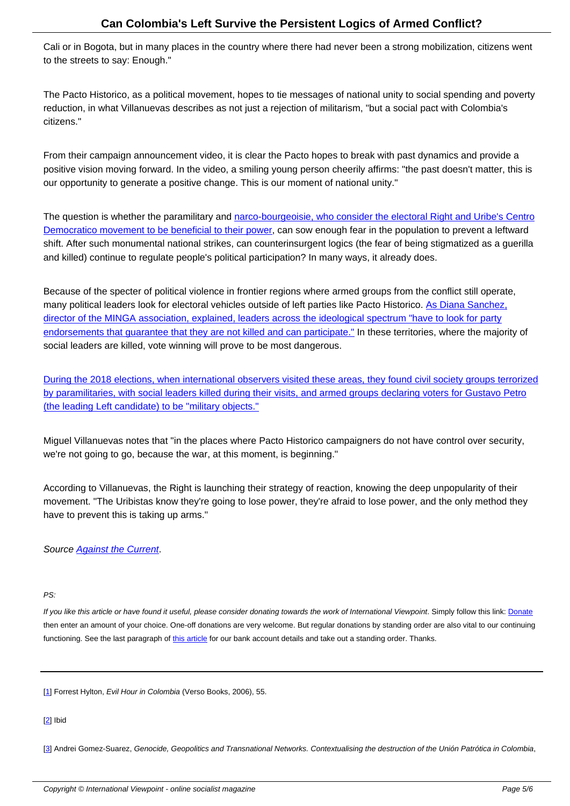Cali or in Bogota, but in many places in the country where there had never been a strong mobilization, citizens went to the streets to say: Enough."

The Pacto Historico, as a political movement, hopes to tie messages of national unity to social spending and poverty reduction, in what Villanuevas describes as not just a rejection of militarism, "but a social pact with Colombia's citizens."

From their campaign announcement video, it is clear the Pacto hopes to break with past dynamics and provide a positive vision moving forward. In the video, a smiling young person cheerily affirms: "the past doesn't matter, this is our opportunity to generate a positive change. This is our moment of national unity."

The question is whether the paramilitary and narco-bourgeoisie, who consider the electoral Right and Uribe's Centro Democratico movement to be beneficial to their power, can sow enough fear in the population to prevent a leftward shift. After such monumental national strikes, can counterinsurgent logics (the fear of being stigmatized as a guerilla and killed) continue to regulate people's politi[cal participation? In many ways, it already does.](https://www.infobae.com/america/colombia/2020/03/14/quien-era-el-el-nene-hernandez-el-ganadero-y-narco-que-tiene-a-ivan-duque-frente-al-escandalo-mas-grande-de-su-gobierno/)

Because of the specter of political violence in frontier regions where armed groups from the conflict still operate, many political leaders look for electoral vehicles outside of left parties like Pacto Historico. As Diana Sanchez, director of the MINGA association, explained, leaders across the ideological spectrum "have to look for party endorsements that guarantee that they are not killed and can participate." In these territories, where the majority of social leaders are killed, vote winning will prove to be most dangerous.

[During the 2018 elections, when international observers visited these area](https://cerosetenta.uniandes.edu.co/la-politica-que-rodea-el-asesinato-de-lideres/)s, they found civil society groups terrorized by paramilitaries, with social leaders killed during their visits, and armed groups declaring voters for Gustavo Petro (the leading Left candidate) to be "military objects."

[Miguel Villanuevas notes that "in the places where Pacto Historico campaigners do not have control over security,](http://links.org.au/colombia-struggle-defiance-feast-pestilence) [we're not going to go, because the war, at this mom](http://links.org.au/colombia-struggle-defiance-feast-pestilence)ent, is beginning."

According to Villanuevas, the Right is launching their strategy of reaction, knowing the deep unpopularity of their movement. "The Uribistas know they're going to lose power, they're afraid to lose power, and the only method they have to prevent this is taking up arms."

Source Against the Current.

### PS:

If you like this article or have found it useful, please consider donating towards the work of International Viewpoint. Simply follow this link: Donate then enter an amount of your choice. One-off donations are very welcome. But regular donations by standing order are also vital to our continuing functioning. See the last paragraph of this article for our bank account details and take out a standing order. Thanks.

[1] Forrest Hylton, Evil Hour in Colombia [\(Verso B](http://www.internationalviewpoint.org/spip.php?article5368)ooks, 2006), 55.

#### [2] Ibid

[3] Andrei Gomez-Suarez, Genocide, Geopolitics and Transnational Networks. Contextualising the destruction of the Unión Patrótica in Colombia,